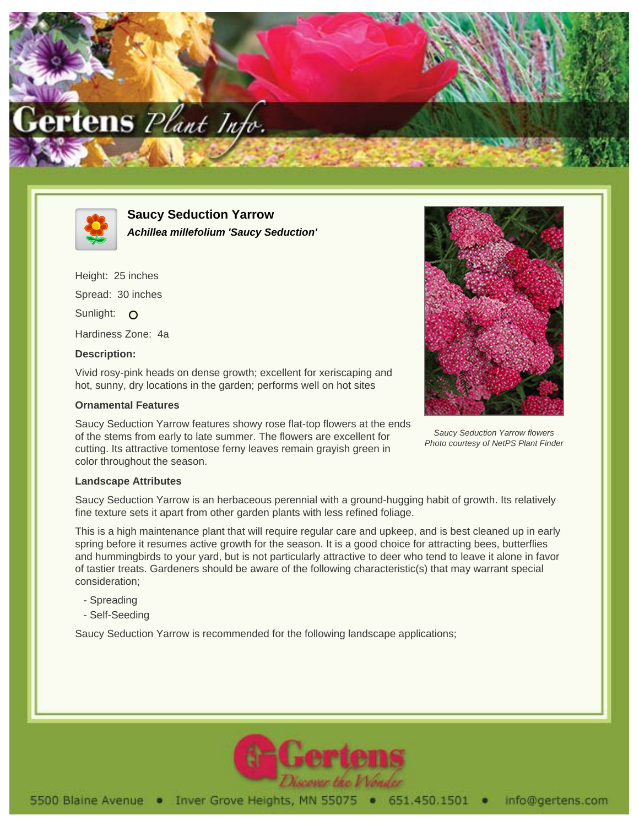



**Saucy Seduction Yarrow Achillea millefolium 'Saucy Seduction'**

Height: 25 inches Spread: 30 inches Sunlight: O Hardiness Zone: 4a

## **Description:**

Vivid rosy-pink heads on dense growth; excellent for xeriscaping and hot, sunny, dry locations in the garden; performs well on hot sites

## **Ornamental Features**

Saucy Seduction Yarrow features showy rose flat-top flowers at the ends of the stems from early to late summer. The flowers are excellent for cutting. Its attractive tomentose ferny leaves remain grayish green in color throughout the season.



Saucy Seduction Yarrow flowers Photo courtesy of NetPS Plant Finder

## **Landscape Attributes**

Saucy Seduction Yarrow is an herbaceous perennial with a ground-hugging habit of growth. Its relatively fine texture sets it apart from other garden plants with less refined foliage.

This is a high maintenance plant that will require regular care and upkeep, and is best cleaned up in early spring before it resumes active growth for the season. It is a good choice for attracting bees, butterflies and hummingbirds to your yard, but is not particularly attractive to deer who tend to leave it alone in favor of tastier treats. Gardeners should be aware of the following characteristic(s) that may warrant special consideration;

- Spreading
- Self-Seeding

Saucy Seduction Yarrow is recommended for the following landscape applications;